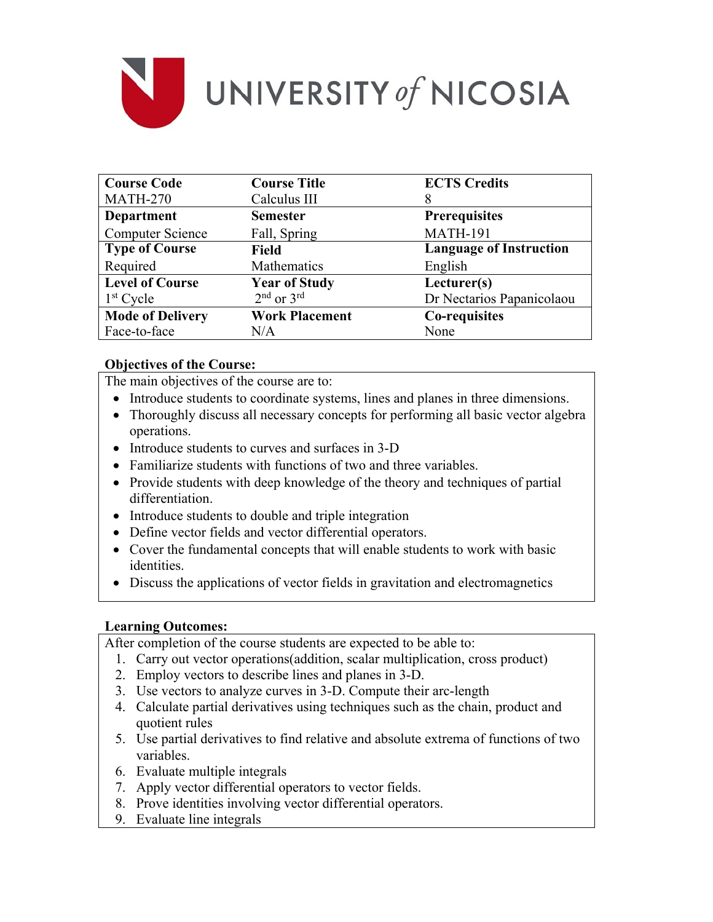

| <b>Course Code</b>      | <b>Course Title</b>   | <b>ECTS Credits</b>            |
|-------------------------|-----------------------|--------------------------------|
| <b>MATH-270</b>         | Calculus III          | 8                              |
| <b>Department</b>       | <b>Semester</b>       | <b>Prerequisites</b>           |
| <b>Computer Science</b> | Fall, Spring          | <b>MATH-191</b>                |
| <b>Type of Course</b>   | <b>Field</b>          | <b>Language of Instruction</b> |
| Required                | Mathematics           | English                        |
| <b>Level of Course</b>  | <b>Year of Study</b>  | Lecturer(s)                    |
| $1st$ Cycle             | $2nd$ or $3rd$        | Dr Nectarios Papanicolaou      |
| <b>Mode of Delivery</b> | <b>Work Placement</b> | Co-requisites                  |
| Face-to-face            | N/A                   | None                           |

# **Objectives of the Course:**

The main objectives of the course are to:

- Introduce students to coordinate systems, lines and planes in three dimensions.
- Thoroughly discuss all necessary concepts for performing all basic vector algebra operations.
- Introduce students to curves and surfaces in 3-D
- Familiarize students with functions of two and three variables.
- Provide students with deep knowledge of the theory and techniques of partial differentiation.
- Introduce students to double and triple integration
- Define vector fields and vector differential operators.
- Cover the fundamental concepts that will enable students to work with basic identities.
- Discuss the applications of vector fields in gravitation and electromagnetics

# **Learning Outcomes:**

After completion of the course students are expected to be able to:

- 1. Carry out vector operations(addition, scalar multiplication, cross product)
- 2. Employ vectors to describe lines and planes in 3-D.
- 3. Use vectors to analyze curves in 3-D. Compute their arc-length
- 4. Calculate partial derivatives using techniques such as the chain, product and quotient rules
- 5. Use partial derivatives to find relative and absolute extrema of functions of two variables.
- 6. Evaluate multiple integrals
- 7. Apply vector differential operators to vector fields.
- 8. Prove identities involving vector differential operators.
- 9. Evaluate line integrals